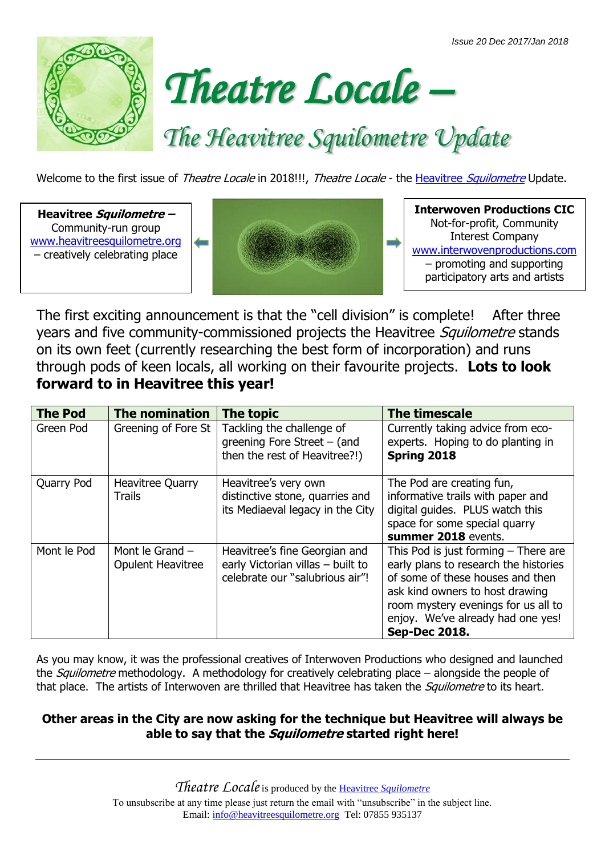



# *The Heavitree Squilometre Update*

Welcome to the first issue of Theatre Locale in 2018!!!, Theatre Locale - the Heavitree [Squilometre](http://www.heavitreesquilometre.org/) Update.

**Heavitree Squilometre –** Community-run group [www.heavitreesquilometre.org](http://www.heavitreesquilometre.org/) – creatively celebrating place



**Interwoven Productions CIC** Not-for-profit, Community Interest Company [www.interwovenproductions.com](http://www.interwovenproductions.com/) – promoting and supporting participatory arts and artists

The first exciting announcement is that the "cell division" is complete! After three years and five community-commissioned projects the Heavitree Squilometre stands on its own feet (currently researching the best form of incorporation) and runs through pods of keen locals, all working on their favourite projects. **Lots to look forward to in Heavitree this year!**

| <b>The Pod</b> | The nomination                                | The topic                                                                                             | <b>The timescale</b>                                                                                                                                                                                                                                |
|----------------|-----------------------------------------------|-------------------------------------------------------------------------------------------------------|-----------------------------------------------------------------------------------------------------------------------------------------------------------------------------------------------------------------------------------------------------|
| Green Pod      | Greening of Fore St                           | Tackling the challenge of<br>greening Fore Street $-$ (and<br>then the rest of Heavitree?!)           | Currently taking advice from eco-<br>experts. Hoping to do planting in<br>Spring 2018                                                                                                                                                               |
| Quarry Pod     | <b>Heavitree Quarry</b><br><b>Trails</b>      | Heavitree's very own<br>distinctive stone, quarries and<br>its Mediaeval legacy in the City           | The Pod are creating fun,<br>informative trails with paper and<br>digital guides. PLUS watch this<br>space for some special quarry<br>summer 2018 events.                                                                                           |
| Mont le Pod    | Mont le Grand $-$<br><b>Opulent Heavitree</b> | Heavitree's fine Georgian and<br>early Victorian villas - built to<br>celebrate our "salubrious air"! | This Pod is just forming $-$ There are<br>early plans to research the histories<br>of some of these houses and then<br>ask kind owners to host drawing<br>room mystery evenings for us all to<br>enjoy. We've already had one yes!<br>Sep-Dec 2018. |

As you may know, it was the professional creatives of Interwoven Productions who designed and launched the *Squilometre* methodology. A methodology for creatively celebrating place – alongside the people of that place. The artists of Interwoven are thrilled that Heavitree has taken the *Squilometre* to its heart.

### **Other areas in the City are now asking for the technique but Heavitree will always be able to say that the Squilometre started right here!**

*Theatre Locale*is produced by the Heavitree *[Squilometre](http://www.heavitreesquilometre.org/)* To unsubscribe at any time please just return the email with "unsubscribe" in the subject line. Email: [info@heavitreesquilometre.org](mailto:info@heavitreesquilometre.org) Tel: 07855 935137